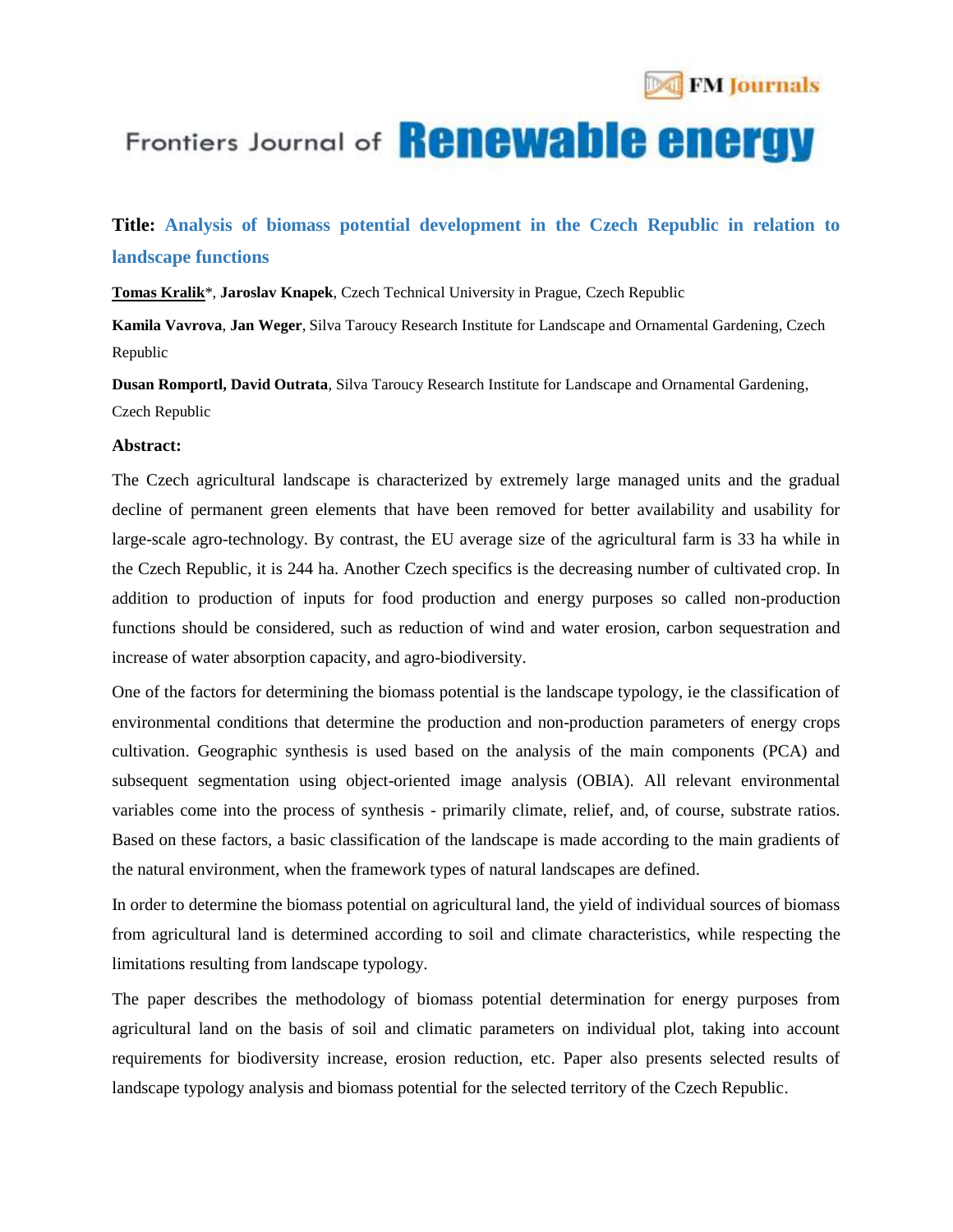

# Frontiers Journal of **Renewable energy**

### **Title: Analysis of biomass potential development in the Czech Republic in relation to landscape functions**

**Tomas Kralik**\*, **Jaroslav Knapek**, Czech Technical University in Prague, Czech Republic

**Kamila Vavrova**, **Jan Weger**, Silva Taroucy Research Institute for Landscape and Ornamental Gardening, Czech Republic

**Dusan Romportl, David Outrata**, Silva Taroucy Research Institute for Landscape and Ornamental Gardening, Czech Republic

#### **Abstract:**

The Czech agricultural landscape is characterized by extremely large managed units and the gradual decline of permanent green elements that have been removed for better availability and usability for large-scale agro-technology. By contrast, the EU average size of the agricultural farm is 33 ha while in the Czech Republic, it is 244 ha. Another Czech specifics is the decreasing number of cultivated crop. In addition to production of inputs for food production and energy purposes so called non-production functions should be considered, such as reduction of wind and water erosion, carbon sequestration and increase of water absorption capacity, and agro-biodiversity.

One of the factors for determining the biomass potential is the landscape typology, ie the classification of environmental conditions that determine the production and non-production parameters of energy crops cultivation. Geographic synthesis is used based on the analysis of the main components (PCA) and subsequent segmentation using object-oriented image analysis (OBIA). All relevant environmental variables come into the process of synthesis - primarily climate, relief, and, of course, substrate ratios. Based on these factors, a basic classification of the landscape is made according to the main gradients of the natural environment, when the framework types of natural landscapes are defined.

In order to determine the biomass potential on agricultural land, the yield of individual sources of biomass from agricultural land is determined according to soil and climate characteristics, while respecting the limitations resulting from landscape typology.

The paper describes the methodology of biomass potential determination for energy purposes from agricultural land on the basis of soil and climatic parameters on individual plot, taking into account requirements for biodiversity increase, erosion reduction, etc. Paper also presents selected results of landscape typology analysis and biomass potential for the selected territory of the Czech Republic.